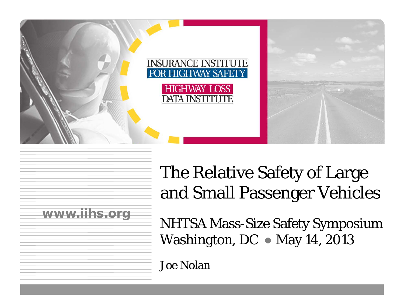

# The Relative Safety of Large and Small Passenger Vehicles



NHTSA Mass-Size Safety Symposium Washington, DC ● May 14, 2013

Joe Nolan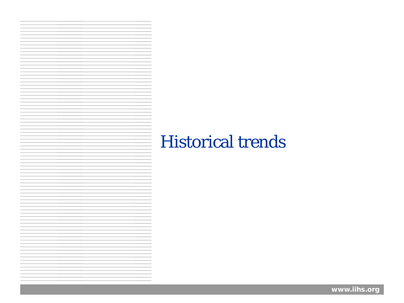## Historical trends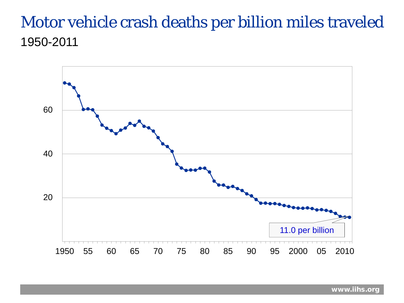#### Motor vehicle crash deaths per billion miles traveled 1950-2011

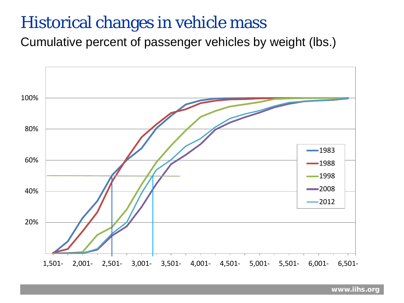#### Historical changes in vehicle mass

Cumulative percent of passenger vehicles by weight (lbs.)

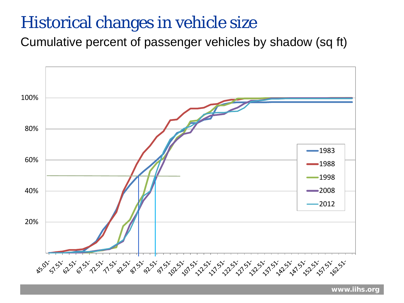#### Historical changes in vehicle size

Cumulative percent of passenger vehicles by shadow (sq ft)

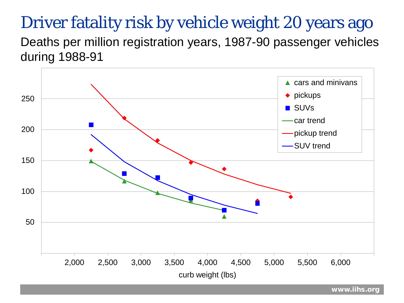## Driver fatality risk by vehicle weight 20 years ago

Deaths per million registration years, 1987-90 passenger vehicles during 1988-91

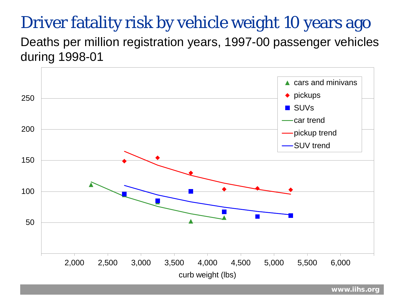## Driver fatality risk by vehicle weight 10 years ago

Deaths per million registration years, 1997-00 passenger vehicles during 1998-01

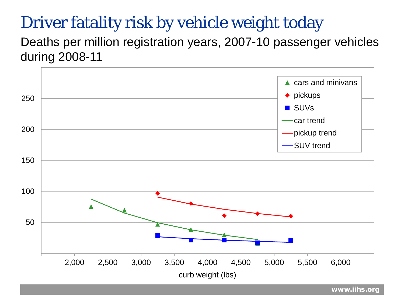## Driver fatality risk by vehicle weight today

Deaths per million registration years, 2007-10 passenger vehicles during 2008-11

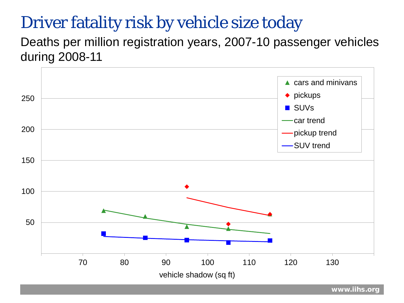### Driver fatality risk by vehicle size today

Deaths per million registration years, 2007-10 passenger vehicles during 2008-11

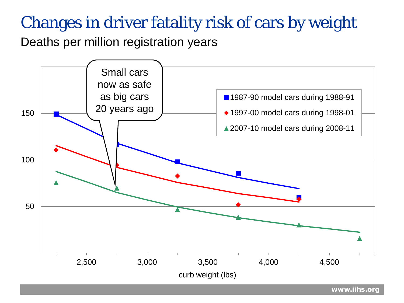## Changes in driver fatality risk of cars by weight

Deaths per million registration years

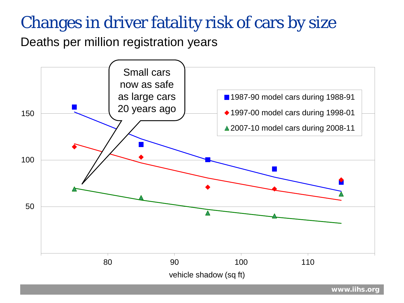### Changes in driver fatality risk of cars by size

Deaths per million registration years

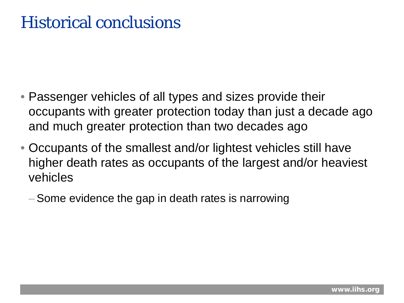### Historical conclusions

- Passenger vehicles of all types and sizes provide their occupants with greater protection today than just a decade ago and much greater protection than two decades ago
- Occupants of the smallest and/or lightest vehicles still have higher death rates as occupants of the largest and/or heaviest vehicles
	- –Some evidence the gap in death rates is narrowing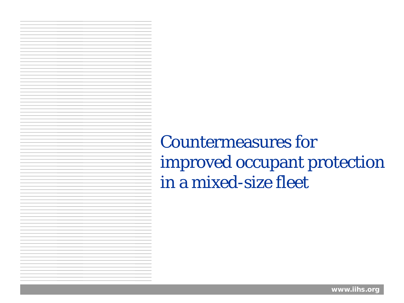Countermeasures for improved occupant protection in a mixed-size fleet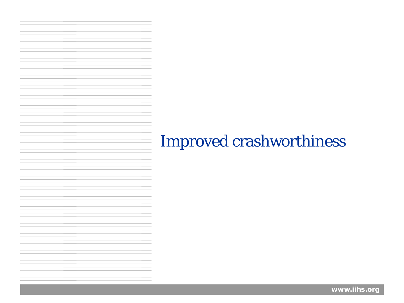### Improved crashworthiness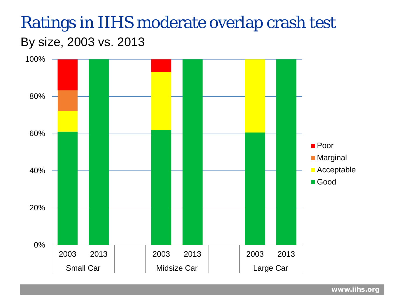### Ratings in IIHS moderate overlap crash test By size, 2003 vs. 2013

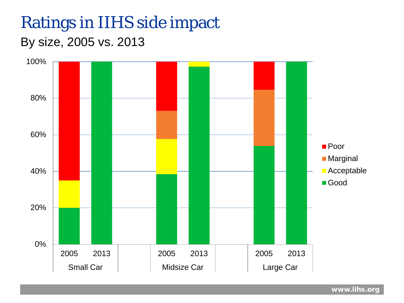### Ratings in IIHS side impact

#### By size, 2005 vs. 2013

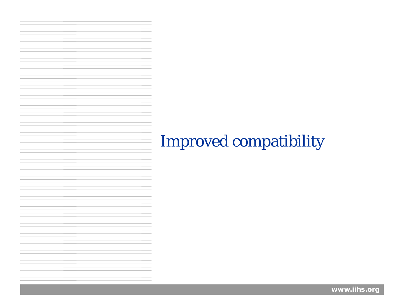### Improved compatibility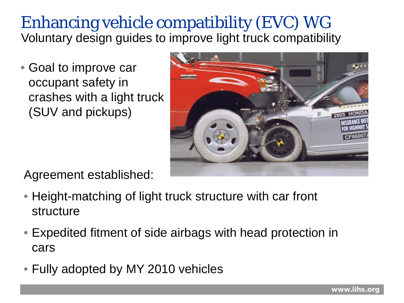#### Enhancing vehicle compatibility (EVC) WG Voluntary design guides to improve light truck compatibility

• Goal to improve car occupant safety in crashes with a light truck (SUV and pickups)



Agreement established:

- Height-matching of light truck structure with car front structure
- Expedited fitment of side airbags with head protection in cars
- Fully adopted by MY 2010 vehicles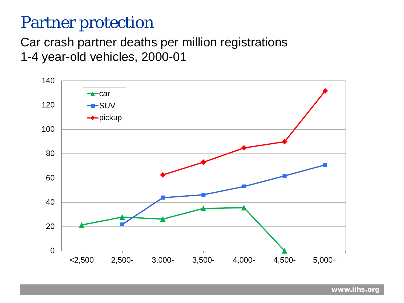#### Partner protection

Car crash partner deaths per million registrations 1-4 year-old vehicles, 2000-01

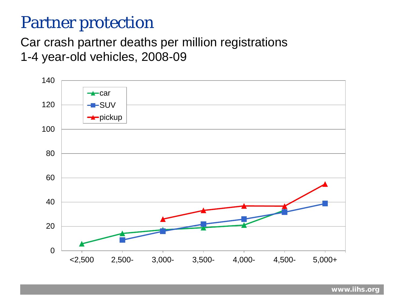#### Partner protection

#### Car crash partner deaths per million registrations 1-4 year-old vehicles, 2008-09

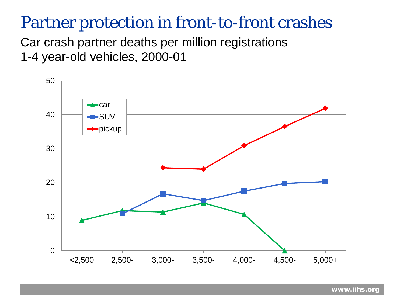#### Partner protection in front-to-front crashes

Car crash partner deaths per million registrations 1-4 year-old vehicles, 2000-01

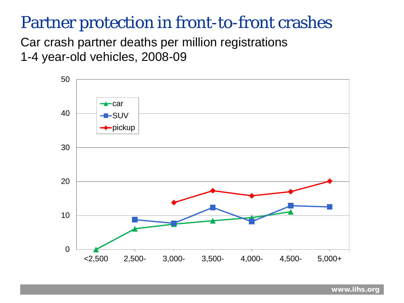#### Partner protection in front-to-front crashes

Car crash partner deaths per million registrations 1-4 year-old vehicles, 2008-09

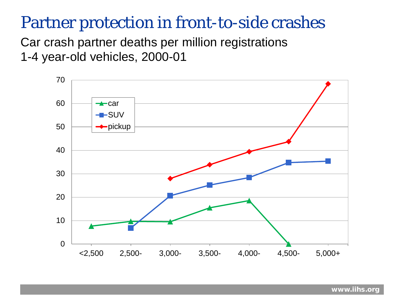#### Partner protection in front-to-side crashes

Car crash partner deaths per million registrations 1-4 year-old vehicles, 2000-01

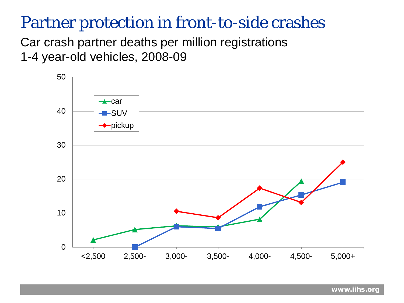#### Partner protection in front-to-side crashes

Car crash partner deaths per million registrations 1-4 year-old vehicles, 2008-09

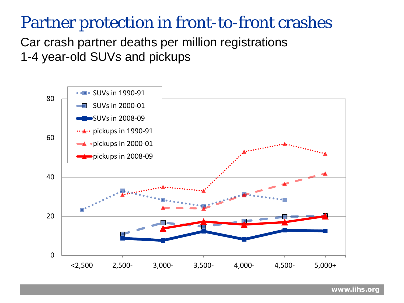#### Partner protection in front-to-front crashes

Car crash partner deaths per million registrations 1-4 year-old SUVs and pickups

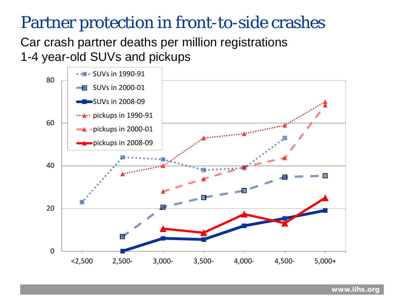#### Partner protection in front-to-side crashes

Car crash partner deaths per million registrations 1-4 year-old SUVs and pickups

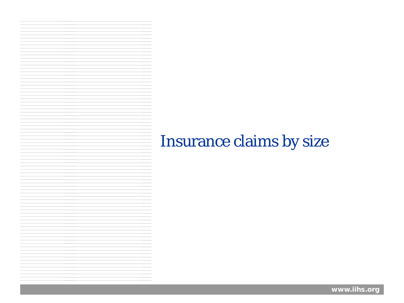#### Insurance claims by size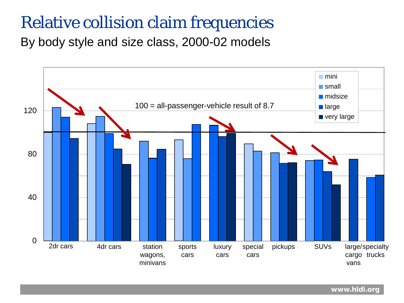#### Relative collision claim frequencies

By body style and size class, 2000-02 models

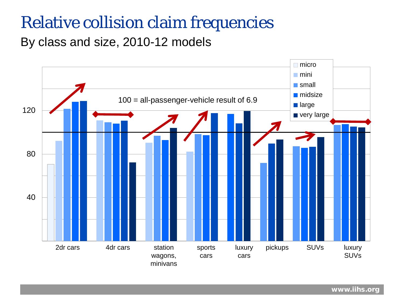#### Relative collision claim frequencies

By class and size, 2010-12 models

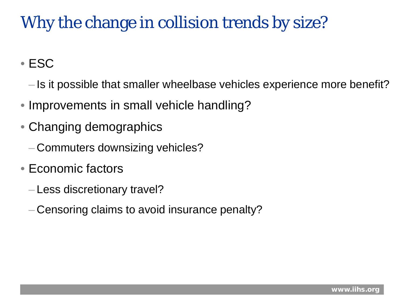# Why the change in collision trends by size?

• ESC

- Is it possible that smaller wheelbase vehicles experience more benefit?
- Improvements in small vehicle handling?
- Changing demographics
	- Commuters downsizing vehicles?
- Economic factors
	- Less discretionary travel?
	- Censoring claims to avoid insurance penalty?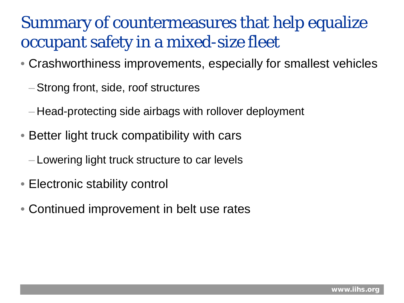## Summary of countermeasures that help equalize occupant safety in a mixed-size fleet

- Crashworthiness improvements, especially for smallest vehicles
	- –Strong front, side, roof structures
	- Head-protecting side airbags with rollover deployment
- Better light truck compatibility with cars
	- Lowering light truck structure to car levels
- Electronic stability control
- Continued improvement in belt use rates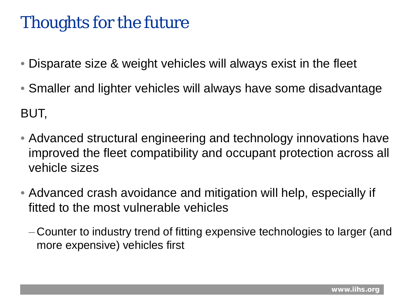# Thoughts for the future

- Disparate size & weight vehicles will always exist in the fleet
- Smaller and lighter vehicles will always have some disadvantage BUT,
- Advanced structural engineering and technology innovations have improved the fleet compatibility and occupant protection across all vehicle sizes
- Advanced crash avoidance and mitigation will help, especially if fitted to the most vulnerable vehicles
	- Counter to industry trend of fitting expensive technologies to larger (and more expensive) vehicles first